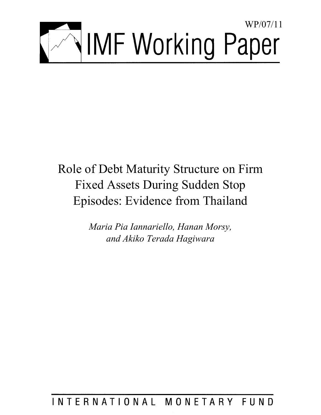

# Role of Debt Maturity Structure on Firm Fixed Assets During Sudden Stop Episodes: Evidence from Thailand

*Maria Pia Iannariello, Hanan Morsy, and Akiko Terada Hagiwara* 

## INTERNATIONAL MONETARY FUND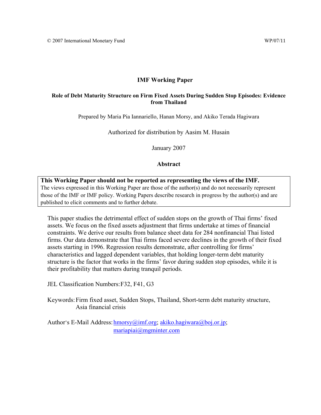#### **IMF Working Paper**

#### **Role of Debt Maturity Structure on Firm Fixed Assets During Sudden Stop Episodes: Evidence from Thailand**

Prepared by Maria Pia Iannariello, Hanan Morsy, and Akiko Terada Hagiwara

Authorized for distribution by Aasim M. Husain

January 2007

#### **Abstract**

**This Working Paper should not be reported as representing the views of the IMF.** The views expressed in this Working Paper are those of the author(s) and do not necessarily represent those of the IMF or IMF policy. Working Papers describe research in progress by the author(s) and are published to elicit comments and to further debate.

This paper studies the detrimental effect of sudden stops on the growth of Thai firms' fixed assets. We focus on the fixed assets adjustment that firms undertake at times of financial constraints. We derive our results from balance sheet data for 284 nonfinancial Thai listed firms. Our data demonstrate that Thai firms faced severe declines in the growth of their fixed assets starting in 1996. Regression results demonstrate, after controlling for firms' characteristics and lagged dependent variables, that holding longer-term debt maturity structure is the factor that works in the firms' favor during sudden stop episodes, while it is their profitability that matters during tranquil periods.

JEL Classification Numbers: F32, F41, G3

Keywords: Firm fixed asset, Sudden Stops, Thailand, Short-term debt maturity structure, Asia financial crisis

Author's E-Mail Address: hmorsy@imf.org; akiko.hagiwara@boj.or.jp; mariapiai@mgminter.com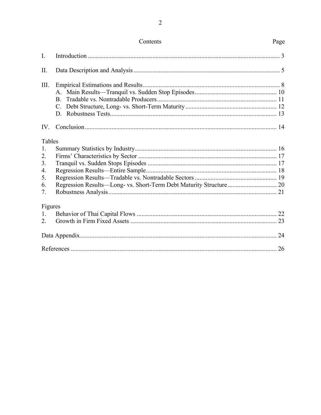|          | Contents                                                            | Page |
|----------|---------------------------------------------------------------------|------|
| I.       |                                                                     |      |
| Π.       |                                                                     |      |
| III.     |                                                                     |      |
|          |                                                                     |      |
|          | $B_{-}$                                                             |      |
|          | $C_{\cdot}$                                                         |      |
|          | D.                                                                  |      |
| $IV_{-}$ |                                                                     |      |
| Tables   |                                                                     |      |
| 1.       |                                                                     |      |
| 2.       |                                                                     |      |
| 3.       |                                                                     |      |
| 4.       |                                                                     |      |
| 5.       |                                                                     |      |
| 6.       | Regression Results-Long- vs. Short-Term Debt Maturity Structure  20 |      |
| 7.       |                                                                     |      |
| Figures  |                                                                     |      |
| $1_{-}$  |                                                                     |      |
| 2.       |                                                                     |      |
|          |                                                                     |      |
|          |                                                                     |      |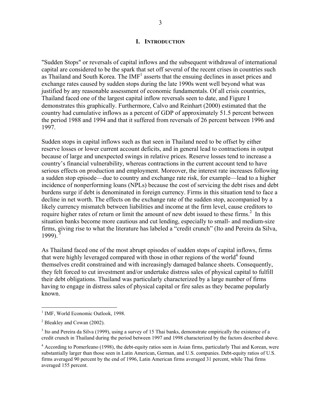#### **I. INTRODUCTION**

"Sudden Stops" or reversals of capital inflows and the subsequent withdrawal of international capital are considered to be the spark that set off several of the recent crises in countries such as Thailand and South Korea. The  $IMF<sup>1</sup>$  asserts that the ensuing declines in asset prices and exchange rates caused by sudden stops during the late 1990s went well beyond what was justified by any reasonable assessment of economic fundamentals. Of all crisis countries, Thailand faced one of the largest capital inflow reversals seen to date, and Figure I demonstrates this graphically. Furthermore, Calvo and Reinhart (2000) estimated that the country had cumulative inflows as a percent of GDP of approximately 51.5 percent between the period 1988 and 1994 and that it suffered from reversals of 26 percent between 1996 and 1997.

Sudden stops in capital inflows such as that seen in Thailand need to be offset by either reserve losses or lower current account deficits, and in general lead to contractions in output because of large and unexpected swings in relative prices. Reserve losses tend to increase a country's financial vulnerability, whereas contractions in the current account tend to have serious effects on production and employment. Moreover, the interest rate increases following a sudden stop episode—due to country and exchange rate risk, for example—lead to a higher incidence of nonperforming loans (NPLs) because the cost of servicing the debt rises and debt burdens surge if debt is denominated in foreign currency. Firms in this situation tend to face a decline in net worth. The effects on the exchange rate of the sudden stop, accompanied by a likely currency mismatch between liabilities and income at the firm level, cause creditors to require higher rates of return or limit the amount of new debt issued to these firms. $2$  In this situation banks become more cautious and cut lending, especially to small- and medium-size firms, giving rise to what the literature has labeled a "credit crunch" (Ito and Pereira da Silva, 1999).<sup>3</sup>

As Thailand faced one of the most abrupt episodes of sudden stops of capital inflows, firms that were highly leveraged compared with those in other regions of the world<sup>4</sup> found themselves credit constrained and with increasingly damaged balance sheets. Consequently, they felt forced to cut investment and/or undertake distress sales of physical capital to fulfill their debt obligations. Thailand was particularly characterized by a large number of firms having to engage in distress sales of physical capital or fire sales as they became popularly known.

<sup>&</sup>lt;sup>1</sup> IMF, World Economic Outlook, 1998.

<sup>&</sup>lt;sup>2</sup> Bleakley and Cowan (2002).

 $3$  Ito and Pereira da Silva (1999), using a survey of 15 Thai banks, demonstrate empirically the existence of a credit crunch in Thailand during the period between 1997 and 1998 characterized by the factors described above.

<sup>&</sup>lt;sup>4</sup> According to Pomerleano (1998), the debt-equity ratios seen in Asian firms, particularly Thai and Korean, were substantially larger than those seen in Latin American, German, and U.S. companies. Debt-equity ratios of U.S. firms averaged 90 percent by the end of 1996, Latin American firms averaged 31 percent, while Thai firms averaged 155 percent.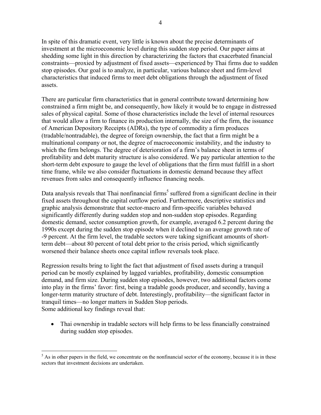In spite of this dramatic event, very little is known about the precise determinants of investment at the microeconomic level during this sudden stop period. Our paper aims at shedding some light in this direction by characterizing the factors that exacerbated financial constraints—proxied by adjustment of fixed assets—experienced by Thai firms due to sudden stop episodes. Our goal is to analyze, in particular, various balance sheet and firm-level characteristics that induced firms to meet debt obligations through the adjustment of fixed assets.

There are particular firm characteristics that in general contribute toward determining how constrained a firm might be, and consequently, how likely it would be to engage in distressed sales of physical capital. Some of those characteristics include the level of internal resources that would allow a firm to finance its production internally, the size of the firm, the issuance of American Depository Receipts (ADRs), the type of commodity a firm produces (tradable/nontradable), the degree of foreign ownership, the fact that a firm might be a multinational company or not, the degree of macroeconomic instability, and the industry to which the firm belongs. The degree of deterioration of a firm's balance sheet in terms of profitability and debt maturity structure is also considered. We pay particular attention to the short-term debt exposure to gauge the level of obligations that the firm must fulfill in a short time frame, while we also consider fluctuations in domestic demand because they affect revenues from sales and consequently influence financing needs.

Data analysis reveals that Thai nonfinancial firms<sup>5</sup> suffered from a significant decline in their fixed assets throughout the capital outflow period. Furthermore, descriptive statistics and graphic analysis demonstrate that sector-macro and firm-specific variables behaved significantly differently during sudden stop and non-sudden stop episodes. Regarding domestic demand, sector consumption growth, for example, averaged 6.2 percent during the 1990s except during the sudden stop episode when it declined to an average growth rate of -9 percent. At the firm level, the tradable sectors were taking significant amounts of shortterm debt—about 80 percent of total debt prior to the crisis period, which significantly worsened their balance sheets once capital inflow reversals took place.

Regression results bring to light the fact that adjustment of fixed assets during a tranquil period can be mostly explained by lagged variables, profitability, domestic consumption demand, and firm size. During sudden stop episodes, however, two additional factors come into play in the firms' favor: first, being a tradable goods producer, and secondly, having a longer-term maturity structure of debt. Interestingly, profitability—the significant factor in tranquil times—no longer matters in Sudden Stop periods. Some additional key findings reveal that:

• Thai ownership in tradable sectors will help firms to be less financially constrained during sudden stop episodes.

 $<sup>5</sup>$  As in other papers in the field, we concentrate on the nonfinancial sector of the economy, because it is in these</sup> sectors that investment decisions are undertaken.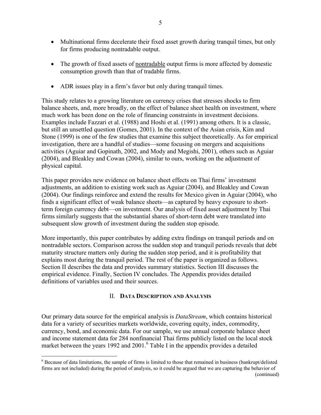- Multinational firms decelerate their fixed asset growth during tranquil times, but only for firms producing nontradable output.
- The growth of fixed assets of nontradable output firms is more affected by domestic consumption growth than that of tradable firms.
- ADR issues play in a firm's favor but only during tranquil times.

This study relates to a growing literature on currency crises that stresses shocks to firm balance sheets, and, more broadly, on the effect of balance sheet health on investment, where much work has been done on the role of financing constraints in investment decisions. Examples include Fazzari et al. (1988) and Hoshi et al. (1991) among others. It is a classic, but still an unsettled question (Gomes, 2001). In the context of the Asian crisis, Kim and Stone (1999) is one of the few studies that examine this subject theoretically. As for empirical investigation, there are a handful of studies—some focusing on mergers and acquisitions activities (Aguiar and Gopinath, 2002, and Mody and Megishi, 2001), others such as Aguiar (2004), and Bleakley and Cowan (2004), similar to ours, working on the adjustment of physical capital.

This paper provides new evidence on balance sheet effects on Thai firms' investment adjustments, an addition to existing work such as Aguiar (2004), and Bleakley and Cowan (2004). Our findings reinforce and extend the results for Mexico given in Aguiar (2004), who finds a significant effect of weak balance sheets—as captured by heavy exposure to shortterm foreign currency debt—on investment. Our analysis of fixed asset adjustment by Thai firms similarly suggests that the substantial shares of short-term debt were translated into subsequent slow growth of investment during the sudden stop episode.

More importantly, this paper contributes by adding extra findings on tranquil periods and on nontradable sectors. Comparison across the sudden stop and tranquil periods reveals that debt maturity structure matters only during the sudden stop period, and it is profitability that explains most during the tranquil period. The rest of the paper is organized as follows. Section II describes the data and provides summary statistics. Section III discusses the empirical evidence. Finally, Section IV concludes. The Appendix provides detailed definitions of variables used and their sources.

#### II. **DATA DESCRIPTION AND ANALYSIS**

Our primary data source for the empirical analysis is *DataStream*, which contains historical data for a variety of securities markets worldwide, covering equity, index, commodity, currency, bond, and economic data. For our sample, we use annual corporate balance sheet and income statement data for 284 nonfinancial Thai firms publicly listed on the local stock market between the years 1992 and 2001.<sup>6</sup> Table I in the appendix provides a detailed

 $\overline{a}$ <sup>6</sup> Because of data limitations, the sample of firms is limited to those that remained in business (bankrupt/delisted firms are not included) during the period of analysis, so it could be argued that we are capturing the behavior of (continued)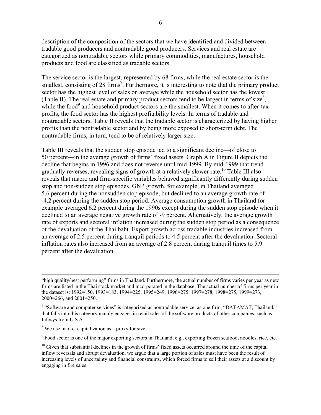description of the composition of the sectors that we have identified and divided between tradable good producers and nontradable good producers. Services and real estate are categorized as nontradable sectors while primary commodities, manufactures, household products and food are classified as tradable sectors.

The service sector is the largest, represented by 68 firms, while the real estate sector is the smallest, consisting of 28 firms<sup>7</sup>. Furthermore, it is interesting to note that the primary product sector has the highest level of sales on average while the household sector has the lowest (Table II). The real estate and primary product sectors tend to be largest in terms of size<sup>8</sup>, while the food<sup>9</sup> and household product sectors are the smallest. When it comes to after-tax profits, the food sector has the highest profitability levels. In terms of tradable and nontradable sectors, Table II reveals that the tradable sector is characterized by having higher profits than the nontradable sector and by being more exposed to short-term debt. The nontradable firms, in turn, tend to be of relatively larger size.

Table III reveals that the sudden stop episode led to a significant decline—of close to 50 percent—in the average growth of firms' fixed assets. Graph A in Figure II depicts the decline that begins in 1996 and does not reverse until mid-1999. By mid-1999 that trend gradually reverses, revealing signs of growth at a relatively slower rate.<sup>10</sup> Table III also reveals that macro and firm-specific variables behaved significantly differently during sudden stop and non-sudden stop episodes. GNP growth, for example, in Thailand averaged 5.6 percent during the nonsudden stop episode, but declined to an average growth rate of -4.2 percent during the sudden stop period. Average consumption growth in Thailand for example averaged 6.2 percent during the 1990s except during the sudden stop episode when it declined to an average negative growth rate of -9 percent. Alternatively, the average growth rate of exports and sectoral inflation increased during the sudden stop period as a consequence of the devaluation of the Thai baht. Export growth across tradable industries increased from an average of 2.5 percent during tranquil periods to 4.5 percent after the devaluation. Sectoral inflation rates also increased from an average of 2.8 percent during tranquil times to 5.9 percent after the devaluation.

<sup>9</sup> Food sector is one of the major exporting sectors in Thailand, e.g., exporting frozen seafood, noodles, rice, etc.

 <sup>&</sup>quot;high quality/best performing" firms in Thailand. Furthermore, the actual number of firms varies per year as new firms are listed in the Thai stock market and incorporated in the database. The actual number of firms per year in the dataset is: 1992=150, 1993=183, 1994=225, 1995=249, 1996=275, 1997=278, 1998=275, 1999=273, 2000=266, and 2001=250.

 $7$  "Software and computer services" is categorized as nontradable service, as one firm, "DATAMAT, Thailand," that falls into this category mainly engages in retail sales of the software products of other companies, such as Infosys from U.S.A.

<sup>&</sup>lt;sup>8</sup> We use market capitalization as a proxy for size.

 $10$  Given that substantial declines in the growth of firms' fixed assets occurred around the time of the capital inflow reversals and abrupt devaluation, we argue that a large portion of sales must have been the result of increasing levels of uncertainty and financial constraints, which forced firms to sell their assets at a discount by engaging in fire sales.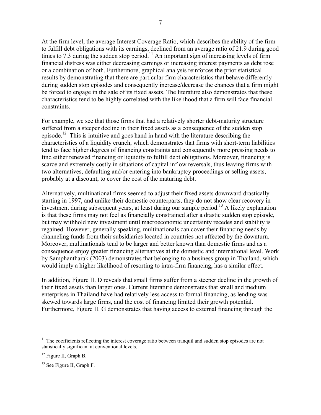At the firm level, the average Interest Coverage Ratio, which describes the ability of the firm to fulfill debt obligations with its earnings, declined from an average ratio of 21.9 during good times to 7.3 during the sudden stop period.<sup>11</sup> An important sign of increasing levels of firm financial distress was either decreasing earnings or increasing interest payments as debt rose or a combination of both. Furthermore, graphical analysis reinforces the prior statistical results by demonstrating that there are particular firm characteristics that behave differently during sudden stop episodes and consequently increase/decrease the chances that a firm might be forced to engage in the sale of its fixed assets. The literature also demonstrates that these characteristics tend to be highly correlated with the likelihood that a firm will face financial constraints.

For example, we see that those firms that had a relatively shorter debt-maturity structure suffered from a steeper decline in their fixed assets as a consequence of the sudden stop episode.<sup>12</sup> This is intuitive and goes hand in hand with the literature describing the characteristics of a liquidity crunch, which demonstrates that firms with short-term liabilities tend to face higher degrees of financing constraints and consequently more pressing needs to find either renewed financing or liquidity to fulfill debt obligations. Moreover, financing is scarce and extremely costly in situations of capital inflow reversals, thus leaving firms with two alternatives, defaulting and/or entering into bankruptcy proceedings or selling assets, probably at a discount, to cover the cost of the maturing debt.

Alternatively, multinational firms seemed to adjust their fixed assets downward drastically starting in 1997, and unlike their domestic counterparts, they do not show clear recovery in investment during subsequent years, at least during our sample period.<sup>13</sup> A likely explanation is that these firms may not feel as financially constrained after a drastic sudden stop episode, but may withhold new investment until macroeconomic uncertainty recedes and stability is regained. However, generally speaking, multinationals can cover their financing needs by channeling funds from their subsidiaries located in countries not affected by the downturn. Moreover, multinationals tend to be larger and better known than domestic firms and as a consequence enjoy greater financing alternatives at the domestic and international level. Work by Samphantharak (2003) demonstrates that belonging to a business group in Thailand, which would imply a higher likelihood of resorting to intra-firm financing, has a similar effect.

In addition, Figure II. D reveals that small firms suffer from a steeper decline in the growth of their fixed assets than larger ones. Current literature demonstrates that small and medium enterprises in Thailand have had relatively less access to formal financing, as lending was skewed towards large firms, and the cost of financing limited their growth potential. Furthermore, Figure II. G demonstrates that having access to external financing through the

 $11$  The coefficients reflecting the interest coverage ratio between tranquil and sudden stop episodes are not statistically significant at conventional levels.

<sup>&</sup>lt;sup>12</sup> Figure II, Graph B.

<sup>&</sup>lt;sup>13</sup> See Figure II, Graph F.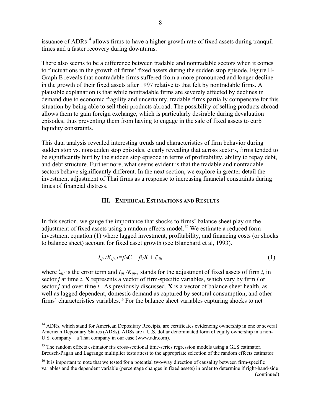issuance of  $ADRs<sup>14</sup>$  allows firms to have a higher growth rate of fixed assets during tranquil times and a faster recovery during downturns.

There also seems to be a difference between tradable and nontradable sectors when it comes to fluctuations in the growth of firms' fixed assets during the sudden stop episode. Figure II-Graph E reveals that nontradable firms suffered from a more pronounced and longer decline in the growth of their fixed assets after 1997 relative to that felt by nontradable firms. A plausible explanation is that while nontradable firms are severely affected by declines in demand due to economic fragility and uncertainty, tradable firms partially compensate for this situation by being able to sell their products abroad. The possibility of selling products abroad allows them to gain foreign exchange, which is particularly desirable during devaluation episodes, thus preventing them from having to engage in the sale of fixed assets to curb liquidity constraints.

This data analysis revealed interesting trends and characteristics of firm behavior during sudden stop vs. nonsudden stop episodes, clearly revealing that across sectors, firms tended to be significantly hurt by the sudden stop episode in terms of profitability, ability to repay debt, and debt structure. Furthermore, what seems evident is that the tradable and nontradable sectors behave significantly different. In the next section, we explore in greater detail the investment adjustment of Thai firms as a response to increasing financial constraints during times of financial distress.

#### **III. EMPIRICAL ESTIMATIONS AND RESULTS**

In this section, we gauge the importance that shocks to firms' balance sheet play on the adjustment of fixed assets using a random effects model.<sup>15</sup> We estimate a reduced form investment equation (1) where lagged investment, profitability, and financing costs (or shocks to balance sheet) account for fixed asset growth (see Blanchard et al, 1993).

$$
I_{ijt}/K_{ijt-1} = \beta_0 C + \beta_1 X + \zeta_{ijt}
$$
\n<sup>(1)</sup>

where  $\zeta_{ijt}$  is the error term and  $I_{ijt}/K_{ijt-1}$  stands for the adjustment of fixed assets of firm *i*, in sector *j* at time *t*. **X** represents a vector of firm-specific variables, which vary by firm *i* or sector *j* and over time *t.* As previously discussed, **X** is a vector of balance sheet health, as well as lagged dependent, domestic demand as captured by sectoral consumption, and other firms' characteristics variables.16 For the balance sheet variables capturing shocks to net

<sup>&</sup>lt;sup>14</sup> ADRs, which stand for American Depositary Receipts, are certificates evidencing ownership in one or several American Depositary Shares (ADSs). ADSs are a U.S. dollar denominated form of equity ownership in a non-U.S. company—a Thai company in our case (www.adr.com).

<sup>&</sup>lt;sup>15</sup> The random effects estimator fits cross-sectional time-series regression models using a GLS estimator. Breusch-Pagan and Lagrange multiplier tests attest to the appropriate selection of the random effects estimator.

 $16$  It is important to note that we tested for a potential two-way direction of causality between firm-specific variables and the dependent variable (percentage changes in fixed assets) in order to determine if right-hand-side (continued)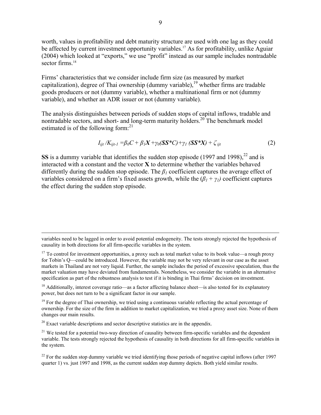worth, values in profitability and debt maturity structure are used with one lag as they could be affected by current investment opportunity variables.<sup>17</sup> As for profitability, unlike Aguiar (2004) which looked at "exports," we use "profit" instead as our sample includes nontradable sector firms<sup>18</sup>

Firms' characteristics that we consider include firm size (as measured by market capitalization), degree of Thai ownership (dummy variable), <sup>19</sup> whether firms are tradable goods producers or not (dummy variable), whether a multinational firm or not (dummy variable), and whether an ADR issuer or not (dummy variable).

The analysis distinguishes between periods of sudden stops of capital inflows, tradable and nontradable sectors, and short- and long-term maturity holders.<sup>20</sup> The benchmark model estimated is of the following form: $^{21}$ 

$$
I_{ijt}/K_{ijt-1} = \beta_0 C + \beta_1 X + \gamma_0 (\mathbf{SS}^* C) + \gamma_1 (\mathbf{SS}^* X) + \zeta_{ijt}
$$
 (2)

**SS** is a dummy variable that identifies the sudden stop episode (1997 and 1998).<sup>22</sup> and is interacted with a constant and the vector **X** to determine whether the variables behaved differently during the sudden stop episode. The *β1* coefficient captures the average effect of variables considered on a firm's fixed assets growth, while the  $(\beta_1 + \gamma_1)$  coefficient captures the effect during the sudden stop episode.

<sup>18</sup> Additionally, interest coverage ratio—as a factor affecting balance sheet—is also tested for its explanatory power, but does not turn to be a significant factor in our sample.

<sup>19</sup> For the degree of Thai ownership, we tried using a continuous variable reflecting the actual percentage of ownership. For the size of the firm in addition to market capitalization, we tried a proxy asset size. None of them changes our main results.

 $20$  Exact variable descriptions and sector descriptive statistics are in the appendix.

<sup>21</sup> We tested for a potential two-way direction of causality between firm-specific variables and the dependent variable. The tests strongly rejected the hypothesis of causality in both directions for all firm-specific variables in the system.

variables need to be lagged in order to avoid potential endogeneity. The tests strongly rejected the hypothesis of causality in both directions for all firm-specific variables in the system.

<sup>&</sup>lt;sup>17</sup> To control for investment opportunities, a proxy such as total market value to its book value—a rough proxy for Tobin's Q—could be introduced. However, the variable may not be very relevant in our case as the asset markets in Thailand are not very liquid. Further, the sample includes the period of excessive speculation, thus the market valuation may have deviated from fundamentals. Nonetheless, we consider the variable in an alternative specification as part of the robustness analysis to test if it is binding in Thai firms' decision on investment.

 $^{22}$  For the sudden stop dummy variable we tried identifying those periods of negative capital inflows (after 1997) quarter 1) vs. just 1997 and 1998, as the current sudden stop dummy depicts. Both yield similar results.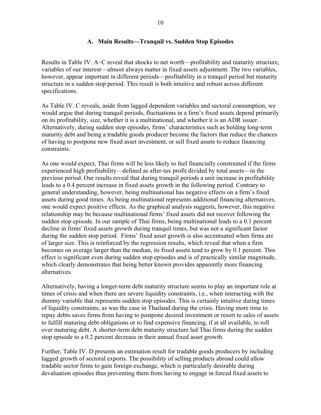#### **A. Main Results—Tranquil vs. Sudden Stop Episodes**

Results in Table IV. A–C reveal that shocks to net worth—profitability and maturity structure, variables of our interest—almost always matter in fixed assets adjustment. The two variables, however, appear important in different periods—profitability in a tranquil period but maturity structure in a sudden stop period. This result is both intuitive and robust across different specifications.

As Table IV. C reveals, aside from lagged dependent variables and sectoral consumption, we would argue that during tranquil periods, fluctuations in a firm's fixed assets depend primarily on its profitability, size, whether it is a multinational, and whether it is an ADR issuer. Alternatively, during sudden stop episodes, firms' characteristics such as holding long-term maturity debt and being a tradable goods producer become the factors that reduce the chances of having to postpone new fixed asset investment, or sell fixed assets to reduce financing constraints.

As one would expect, Thai firms will be less likely to feel financially constrained if the firms experienced high profitability—defined as after-tax profit divided by total assets—in the previous period. Our results reveal that during tranquil periods a unit increase in profitability leads to a 0.4 percent increase in fixed assets growth in the following period. Contrary to general understanding, however, being multinational has negative effects on a firm's fixed assets during good times. As being multinational represents additional financing alternatives, one would expect positive effects. As the graphical analysis suggests, however, this negative relationship may be because multinational firms' fixed assets did not recover following the sudden stop episode. In our sample of Thai firms, being multinational leads to a 0.1 percent decline in firms' fixed assets growth during tranquil times, but was not a significant factor during the sudden stop period. Firms' fixed asset growth is also accentuated when firms are of larger size. This is reinforced by the regression results, which reveal that when a firm becomes on average larger than the median, its fixed assets tend to grow by 0.1 percent. This effect is significant even during sudden stop episodes and is of practically similar magnitude, which clearly demonstrates that being better known provides apparently more financing alternatives.

Alternatively, having a longer-term debt maturity structure seems to play an important role at times of crisis and when there are severe liquidity constraints, i.e., when interacting with the dummy variable that represents sudden stop episodes. This is certainly intuitive during times of liquidity constraints, as was the case in Thailand during the crisis. Having more time to repay debts saves firms from having to postpone desired investment or resort to sales of assets to fulfill maturing debt obligations or to find expensive financing, if at all available, to roll over maturing debt. A shorter-term debt maturity structure led Thai firms during the sudden stop episode to a 0.2 percent decrease in their annual fixed asset growth.

Further, Table IV. D presents an estimation result for tradable goods producers by including lagged growth of sectoral exports. The possibility of selling products abroad could allow tradable sector firms to gain foreign exchange, which is particularly desirable during devaluation episodes thus preventing them from having to engage in forced fixed assets to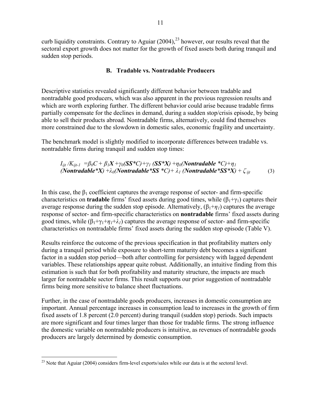curb liquidity constraints. Contrary to Aguiar  $(2004)$ ,<sup>23</sup> however, our results reveal that the sectoral export growth does not matter for the growth of fixed assets both during tranquil and sudden stop periods.

#### **B. Tradable vs. Nontradable Producers**

Descriptive statistics revealed significantly different behavior between tradable and nontradable good producers, which was also apparent in the previous regression results and which are worth exploring further. The different behavior could arise because tradable firms partially compensate for the declines in demand, during a sudden stop/crisis episode, by being able to sell their products abroad. Nontradable firms, alternatively, could find themselves more constrained due to the slowdown in domestic sales, economic fragility and uncertainty.

The benchmark model is slightly modified to incorporate differences between tradable vs. nontradable firms during tranquil and sudden stop times:

$$
I_{ijt}/K_{ijt-1} = \beta_0 C + \beta_1 X + \gamma_0 (SS^*C) + \gamma_1 (SS^*X) + \eta_0 (Nontradable^*C) + \eta_1
$$
  
(Nontradable^\*X) + \lambda\_0 (Nontradable^\*SS^\*C) + \lambda\_1 (Nontradable^\*SS^\*X) + \zeta\_{ijt} (3)

In this case, the  $\beta_1$  coefficient captures the average response of sector- and firm-specific characteristics on **tradable** firms' fixed assets during good times, while  $(\beta_1 + \gamma_1)$  captures their average response during the sudden stop episode. Alternatively,  $(\beta_1 + \eta_1)$  captures the average response of sector- and firm-specific characteristics on **nontradable** firms' fixed assets during good times, while  $(\beta_1 + \gamma_1 + \lambda_1)$  captures the average response of sector- and firm-specific characteristics on nontradable firms' fixed assets during the sudden stop episode (Table V).

Results reinforce the outcome of the previous specification in that profitability matters only during a tranquil period while exposure to short-term maturity debt becomes a significant factor in a sudden stop period—both after controlling for persistency with lagged dependent variables. These relationships appear quite robust. Additionally, an intuitive finding from this estimation is such that for both profitability and maturity structure, the impacts are much larger for nontradable sector firms. This result supports our prior suggestion of nontradable firms being more sensitive to balance sheet fluctuations.

Further, in the case of nontradable goods producers, increases in domestic consumption are important. Annual percentage increases in consumption lead to increases in the growth of firm fixed assets of 1.8 percent (2.0 percent) during tranquil (sudden stop) periods. Such impacts are more significant and four times larger than those for tradable firms. The strong influence the domestic variable on nontradable producers is intuitive, as revenues of nontradable goods producers are largely determined by domestic consumption.

 $\overline{a}$  $^{23}$  Note that Aguiar (2004) considers firm-level exports/sales while our data is at the sectoral level.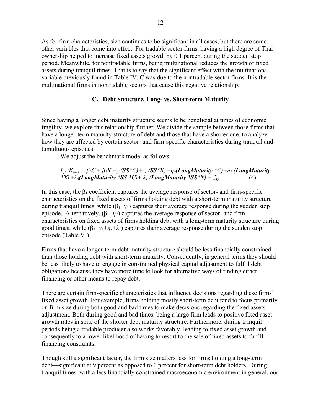As for firm characteristics, size continues to be significant in all cases, but there are some other variables that come into effect. For tradable sector firms, having a high degree of Thai ownership helped to increase fixed assets growth by 0.1 percent during the sudden stop period. Meanwhile, for nontradable firms, being multinational reduces the growth of fixed assets during tranquil times. That is to say that the significant effect with the multinational variable previously found in Table IV. C was due to the nontradable sector firms. It is the multinational firms in nontradable sectors that cause this negative relationship.

#### **C. Debt Structure, Long- vs. Short-term Maturity**

Since having a longer debt maturity structure seems to be beneficial at times of economic fragility, we explore this relationship further. We divide the sample between those firms that have a longer-term maturity structure of debt and those that have a shorter one, to analyze how they are affected by certain sector- and firm-specific characteristics during tranquil and tumultuous episodes.

We adjust the benchmark model as follows:

#### $I_{ijt}/K_{ijt-1} = \beta_0 C + \beta_1 X + \gamma_0 (SS^*C) + \gamma_1 (SS^*X) + \eta_0 (LongMaturity^*C) + \eta_1 (LongMaturity$ *\*X)* +  $\lambda_0$ (*LongMaturity \*SS \*C*) +  $\lambda_1$  (*LongMaturity \*SS \*X*) +  $\zeta$  *ijt* (4)

In this case, the  $\beta_1$  coefficient captures the average response of sector- and firm-specific characteristics on the fixed assets of firms holding debt with a short-term maturity structure during tranquil times, while  $(\beta_1 + \gamma_1)$  captures their average response during the sudden stop episode. Alternatively,  $(\beta_1 + \eta_1)$  captures the average response of sector- and firmcharacteristics on fixed assets of firms holding debt with a long-term maturity structure during good times, while  $(\beta_1 + \gamma_1 + \gamma_1 + \lambda_1)$  captures their average response during the sudden stop episode (Table VI).

Firms that have a longer-term debt maturity structure should be less financially constrained than those holding debt with short-term maturity. Consequently, in general terms they should be less likely to have to engage in constrained physical capital adjustment to fulfill debt obligations because they have more time to look for alternative ways of finding either financing or other means to repay debt.

There are certain firm-specific characteristics that influence decisions regarding these firms' fixed asset growth. For example, firms holding mostly short-term debt tend to focus primarily on firm size during both good and bad times to make decisions regarding the fixed assets adjustment. Both during good and bad times, being a large firm leads to positive fixed asset growth rates in spite of the shorter debt maturity structure. Furthermore, during tranquil periods being a tradable producer also works favorably, leading to fixed asset growth and consequently to a lower likelihood of having to resort to the sale of fixed assets to fulfill financing constraints.

Though still a significant factor, the firm size matters less for firms holding a long-term debt—significant at 9 percent as opposed to 0 percent for short-term debt holders. During tranquil times, with a less financially constrained macroeconomic environment in general, our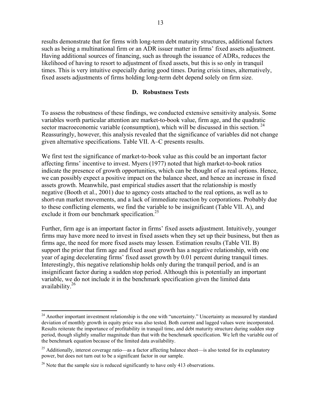results demonstrate that for firms with long-term debt maturity structures, additional factors such as being a multinational firm or an ADR issuer matter in firms' fixed assets adjustment. Having additional sources of financing, such as through the issuance of ADRs, reduces the likelihood of having to resort to adjustment of fixed assets, but this is so only in tranquil times. This is very intuitive especially during good times. During crisis times, alternatively, fixed assets adjustments of firms holding long-term debt depend solely on firm size.

#### **D. Robustness Tests**

To assess the robustness of these findings, we conducted extensive sensitivity analysis. Some variables worth particular attention are market-to-book value, firm age, and the quadratic sector macroeconomic variable (consumption), which will be discussed in this section.  $24$ Reassuringly, however, this analysis revealed that the significance of variables did not change given alternative specifications. Table VII. A–C presents results.

We first test the significance of market-to-book value as this could be an important factor affecting firms' incentive to invest. Myers (1977) noted that high market-to-book ratios indicate the presence of growth opportunities, which can be thought of as real options. Hence, we can possibly expect a positive impact on the balance sheet, and hence an increase in fixed assets growth. Meanwhile, past empirical studies assert that the relationship is mostly negative (Booth et al., 2001) due to agency costs attached to the real options, as well as to short-run market movements, and a lack of immediate reaction by corporations. Probably due to these conflicting elements, we find the variable to be insignificant (Table VII. A), and exclude it from our benchmark specification.<sup>25</sup>

Further, firm age is an important factor in firms' fixed assets adjustment. Intuitively, younger firms may have more need to invest in fixed assets when they set up their business, but then as firms age, the need for more fixed assets may lessen. Estimation results (Table VII. B) support the prior that firm age and fixed asset growth has a negative relationship, with one year of aging decelerating firms' fixed asset growth by 0.01 percent during tranquil times. Interestingly, this negative relationship holds only during the tranquil period, and is an insignificant factor during a sudden stop period. Although this is potentially an important variable, we do not include it in the benchmark specification given the limited data availability.26

<sup>&</sup>lt;sup>24</sup> Another important investment relationship is the one with "uncertainty." Uncertainty as measured by standard deviation of monthly growth in equity price was also tested. Both current and lagged values were incorporated. Results reiterate the importance of profitability in tranquil time, and debt maturity structure during sudden stop period, though slightly smaller magnitude than that with the benchmark specification. We left the variable out of the benchmark equation because of the limited data availability.

<sup>&</sup>lt;sup>25</sup> Additionally, interest coverage ratio—as a factor affecting balance sheet—is also tested for its explanatory power, but does not turn out to be a significant factor in our sample.

 $26$  Note that the sample size is reduced significantly to have only 413 observations.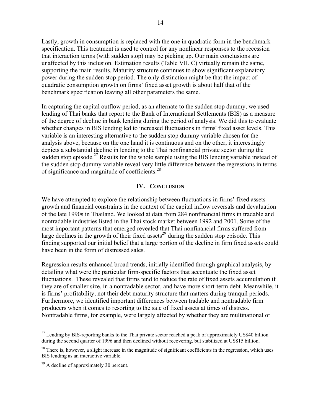Lastly, growth in consumption is replaced with the one in quadratic form in the benchmark specification. This treatment is used to control for any nonlinear responses to the recession that interaction terms (with sudden stop) may be picking up. Our main conclusions are unaffected by this inclusion. Estimation results (Table VII. C) virtually remain the same, supporting the main results. Maturity structure continues to show significant explanatory power during the sudden stop period. The only distinction might be that the impact of quadratic consumption growth on firms' fixed asset growth is about half that of the benchmark specification leaving all other parameters the same.

In capturing the capital outflow period, as an alternate to the sudden stop dummy, we used lending of Thai banks that report to the Bank of International Settlements (BIS) as a measure of the degree of decline in bank lending during the period of analysis. We did this to evaluate whether changes in BIS lending led to increased fluctuations in firms' fixed asset levels. This variable is an interesting alternative to the sudden stop dummy variable chosen for the analysis above, because on the one hand it is continuous and on the other, it interestingly depicts a substantial decline in lending to the Thai nonfinancial private sector during the sudden stop episode.<sup>27</sup> Results for the whole sample using the BIS lending variable instead of the sudden stop dummy variable reveal very little difference between the regressions in terms of significance and magnitude of coefficients.<sup>28</sup>

#### **IV. CONCLUSION**

We have attempted to explore the relationship between fluctuations in firms' fixed assets growth and financial constraints in the context of the capital inflow reversals and devaluation of the late 1990s in Thailand. We looked at data from 284 nonfinancial firms in tradable and nontradable industries listed in the Thai stock market between 1992 and 2001. Some of the most important patterns that emerged revealed that Thai nonfinancial firms suffered from large declines in the growth of their fixed assets<sup>29</sup> during the sudden stop episode. This finding supported our initial belief that a large portion of the decline in firm fixed assets could have been in the form of distressed sales.

Regression results enhanced broad trends, initially identified through graphical analysis, by detailing what were the particular firm-specific factors that accentuate the fixed asset fluctuations. These revealed that firms tend to reduce the rate of fixed assets accumulation if they are of smaller size, in a nontradable sector, and have more short-term debt. Meanwhile, it is firms' profitability, not their debt maturity structure that matters during tranquil periods. Furthermore, we identified important differences between tradable and nontradable firm producers when it comes to resorting to the sale of fixed assets at times of distress. Nontradable firms, for example, were largely affected by whether they are multinational or

 $^{27}$  Lending by BIS-reporting banks to the Thai private sector reached a peak of approximately US\$40 billion during the second quarter of 1996 and then declined without recovering, but stabilized at US\$15 billion.

 $28$  There is, however, a slight increase in the magnitude of significant coefficients in the regression, which uses BIS lending as an interactive variable.

 $29$  A decline of approximately 30 percent.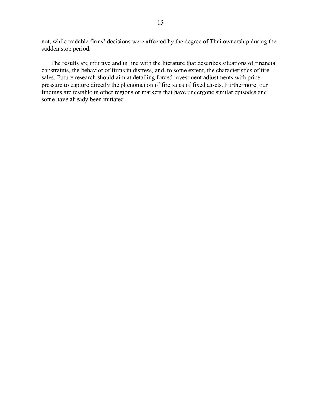not, while tradable firms' decisions were affected by the degree of Thai ownership during the sudden stop period.

The results are intuitive and in line with the literature that describes situations of financial constraints, the behavior of firms in distress, and, to some extent, the characteristics of fire sales. Future research should aim at detailing forced investment adjustments with price pressure to capture directly the phenomenon of fire sales of fixed assets. Furthermore, our findings are testable in other regions or markets that have undergone similar episodes and some have already been initiated.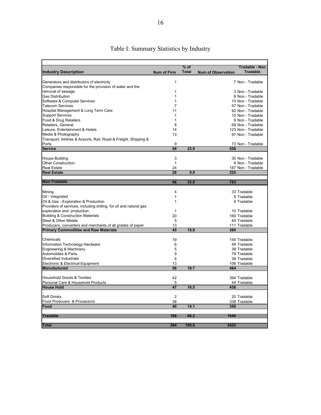| $%$ of<br>Tradable - Non<br><b>Industry Description</b><br><b>Total</b><br><b>Tradable</b><br><b>Num of Firm</b><br><b>Num of Observation</b><br>Generators and distributors of electricity<br>7 Non - Tradable<br>1<br>Companies responsible for the provision of water and the<br>removal of sewage.<br>1<br>3 Non - Tradable<br>Gas Distribution<br>8 Non - Tradable<br>1<br>Software & Computer Services<br>1<br>10 Non - Tradable<br><b>Telecom Services</b><br>7<br>57 Non - Tradable<br>Hospital Management & Long Term Care<br>92 Non - Tradable<br>11<br><b>Support Services</b><br>1<br>10 Non - Tradable<br>Food & Drug Retailers<br>1<br>9 Non - Tradable<br>Retailers, General<br>69 Non - Tradable<br>8<br>Leisure, Entertainment & Hotels<br>14<br>123 Non - Tradable |
|--------------------------------------------------------------------------------------------------------------------------------------------------------------------------------------------------------------------------------------------------------------------------------------------------------------------------------------------------------------------------------------------------------------------------------------------------------------------------------------------------------------------------------------------------------------------------------------------------------------------------------------------------------------------------------------------------------------------------------------------------------------------------------------|
|                                                                                                                                                                                                                                                                                                                                                                                                                                                                                                                                                                                                                                                                                                                                                                                      |
|                                                                                                                                                                                                                                                                                                                                                                                                                                                                                                                                                                                                                                                                                                                                                                                      |
|                                                                                                                                                                                                                                                                                                                                                                                                                                                                                                                                                                                                                                                                                                                                                                                      |
|                                                                                                                                                                                                                                                                                                                                                                                                                                                                                                                                                                                                                                                                                                                                                                                      |
|                                                                                                                                                                                                                                                                                                                                                                                                                                                                                                                                                                                                                                                                                                                                                                                      |
|                                                                                                                                                                                                                                                                                                                                                                                                                                                                                                                                                                                                                                                                                                                                                                                      |
|                                                                                                                                                                                                                                                                                                                                                                                                                                                                                                                                                                                                                                                                                                                                                                                      |
|                                                                                                                                                                                                                                                                                                                                                                                                                                                                                                                                                                                                                                                                                                                                                                                      |
|                                                                                                                                                                                                                                                                                                                                                                                                                                                                                                                                                                                                                                                                                                                                                                                      |
|                                                                                                                                                                                                                                                                                                                                                                                                                                                                                                                                                                                                                                                                                                                                                                                      |
|                                                                                                                                                                                                                                                                                                                                                                                                                                                                                                                                                                                                                                                                                                                                                                                      |
|                                                                                                                                                                                                                                                                                                                                                                                                                                                                                                                                                                                                                                                                                                                                                                                      |
|                                                                                                                                                                                                                                                                                                                                                                                                                                                                                                                                                                                                                                                                                                                                                                                      |
| Media & Photography<br>13<br>97 Non - Tradable                                                                                                                                                                                                                                                                                                                                                                                                                                                                                                                                                                                                                                                                                                                                       |
| Transport: Airlines & Airports, Rail, Road & Freight, Shipping &                                                                                                                                                                                                                                                                                                                                                                                                                                                                                                                                                                                                                                                                                                                     |
| Ports<br>9<br>73 Non - Tradable                                                                                                                                                                                                                                                                                                                                                                                                                                                                                                                                                                                                                                                                                                                                                      |
| 68<br>23.9<br><b>Service</b><br>558                                                                                                                                                                                                                                                                                                                                                                                                                                                                                                                                                                                                                                                                                                                                                  |
|                                                                                                                                                                                                                                                                                                                                                                                                                                                                                                                                                                                                                                                                                                                                                                                      |
| <b>House Building</b><br>3<br>30 Non - Tradable                                                                                                                                                                                                                                                                                                                                                                                                                                                                                                                                                                                                                                                                                                                                      |
| <b>Other Construction</b><br>1<br>8 Non - Tradable                                                                                                                                                                                                                                                                                                                                                                                                                                                                                                                                                                                                                                                                                                                                   |
| <b>Real Estate</b><br>24<br>187 Non - Tradable                                                                                                                                                                                                                                                                                                                                                                                                                                                                                                                                                                                                                                                                                                                                       |
| 28<br>9.9<br><b>Real Estate</b><br>225                                                                                                                                                                                                                                                                                                                                                                                                                                                                                                                                                                                                                                                                                                                                               |
| Non-Tradable                                                                                                                                                                                                                                                                                                                                                                                                                                                                                                                                                                                                                                                                                                                                                                         |
| 96<br>33.8<br>783                                                                                                                                                                                                                                                                                                                                                                                                                                                                                                                                                                                                                                                                                                                                                                    |
| $\overline{4}$<br>Mining<br>33 Tradable                                                                                                                                                                                                                                                                                                                                                                                                                                                                                                                                                                                                                                                                                                                                              |
| Oil - Integrated<br>1<br>8 Tradable                                                                                                                                                                                                                                                                                                                                                                                                                                                                                                                                                                                                                                                                                                                                                  |
| Oil & Gas - Exploration & Production<br>1<br>9 Tradable                                                                                                                                                                                                                                                                                                                                                                                                                                                                                                                                                                                                                                                                                                                              |
| Providers of services, including drilling, for oil and natural gas                                                                                                                                                                                                                                                                                                                                                                                                                                                                                                                                                                                                                                                                                                                   |
| exploration and production.<br>1<br>10 Tradable                                                                                                                                                                                                                                                                                                                                                                                                                                                                                                                                                                                                                                                                                                                                      |
| 20<br><b>Building &amp; Construction Materials</b><br>169 Tradable                                                                                                                                                                                                                                                                                                                                                                                                                                                                                                                                                                                                                                                                                                                   |
| Steel & Other Metals<br>5<br>40 Tradable                                                                                                                                                                                                                                                                                                                                                                                                                                                                                                                                                                                                                                                                                                                                             |
| Producers, converters and merchants of all grades of paper.<br>13<br>111 Tradable                                                                                                                                                                                                                                                                                                                                                                                                                                                                                                                                                                                                                                                                                                    |
| 15.8<br><b>Primary Commodities and Raw Materials</b><br>45<br>380                                                                                                                                                                                                                                                                                                                                                                                                                                                                                                                                                                                                                                                                                                                    |
|                                                                                                                                                                                                                                                                                                                                                                                                                                                                                                                                                                                                                                                                                                                                                                                      |
| Chemicals<br>19<br>154 Tradable                                                                                                                                                                                                                                                                                                                                                                                                                                                                                                                                                                                                                                                                                                                                                      |
| Information Technology Hardware<br>6<br>49 Tradable                                                                                                                                                                                                                                                                                                                                                                                                                                                                                                                                                                                                                                                                                                                                  |
| 5<br>Engineering & Machinery<br>38 Tradable                                                                                                                                                                                                                                                                                                                                                                                                                                                                                                                                                                                                                                                                                                                                          |
| Automobiles & Parts<br>9<br>79 Tradable                                                                                                                                                                                                                                                                                                                                                                                                                                                                                                                                                                                                                                                                                                                                              |
| Diversified Industrials<br>$\overline{4}$<br>38 Tradable                                                                                                                                                                                                                                                                                                                                                                                                                                                                                                                                                                                                                                                                                                                             |
| Electronic & Electrical Equipment<br>13<br>106 Tradable                                                                                                                                                                                                                                                                                                                                                                                                                                                                                                                                                                                                                                                                                                                              |
| 56<br>19.7<br><b>Manufactured</b><br>464                                                                                                                                                                                                                                                                                                                                                                                                                                                                                                                                                                                                                                                                                                                                             |
| <b>Household Goods &amp; Textiles</b><br>42<br>394 Tradable                                                                                                                                                                                                                                                                                                                                                                                                                                                                                                                                                                                                                                                                                                                          |
| Personal Care & Household Products<br>44 Tradable<br>5                                                                                                                                                                                                                                                                                                                                                                                                                                                                                                                                                                                                                                                                                                                               |
| 47<br>16.5<br><b>House Hold</b><br>438                                                                                                                                                                                                                                                                                                                                                                                                                                                                                                                                                                                                                                                                                                                                               |
|                                                                                                                                                                                                                                                                                                                                                                                                                                                                                                                                                                                                                                                                                                                                                                                      |
| $\overline{2}$<br>Soft Drinks<br>20 Tradable                                                                                                                                                                                                                                                                                                                                                                                                                                                                                                                                                                                                                                                                                                                                         |
| Food Producers & Processors<br>38<br>338 Tradable                                                                                                                                                                                                                                                                                                                                                                                                                                                                                                                                                                                                                                                                                                                                    |
| 14.1<br>Food<br>40<br>358                                                                                                                                                                                                                                                                                                                                                                                                                                                                                                                                                                                                                                                                                                                                                            |
|                                                                                                                                                                                                                                                                                                                                                                                                                                                                                                                                                                                                                                                                                                                                                                                      |
| <b>Tradable</b><br>188<br>66.2<br>1640                                                                                                                                                                                                                                                                                                                                                                                                                                                                                                                                                                                                                                                                                                                                               |
| <b>Total</b><br>284<br>100.0<br>2423                                                                                                                                                                                                                                                                                                                                                                                                                                                                                                                                                                                                                                                                                                                                                 |

## Table I: Summary Statistics by Industry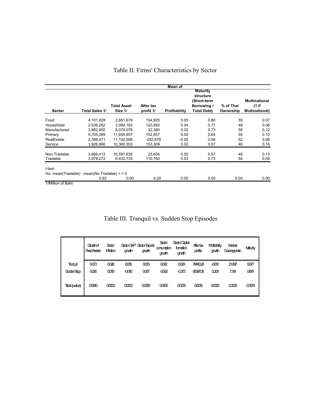|               |                                              |                    |           | Mean of              |                              |           |                        |
|---------------|----------------------------------------------|--------------------|-----------|----------------------|------------------------------|-----------|------------------------|
|               |                                              |                    |           |                      | <b>Maturity</b><br>structure |           |                        |
|               |                                              |                    |           |                      | (Short-term                  |           | Multinational          |
|               |                                              | <b>Total Asset</b> | After tax |                      | Borrowing /                  | % of Thai | $(1$ if                |
| <b>Sector</b> | <b>Total Sales 1/</b>                        | Size 1/            | profit 1/ | <b>Profitability</b> | <b>Total Debt)</b>           | Ownership | <b>Multinational</b> ) |
| Food          | 4,101,828                                    | 2,851,679          | 154,925   | 0.05                 | 0.80                         | 55        | 0.07                   |
| HouseHold     | 2.536.282                                    | 3.084.162          | 120.493   | 0.04                 | 0.77                         | 48        | 0.06                   |
| Manufactured  | 3,882,950                                    | 8,079,078          | 32,380    | 0.02                 | 0.73                         | 58        | 0.12                   |
| Primary       | 5,705,389                                    | 11,655,857         | 152,857   | 0.00                 | 0.64                         | 55        | 0.10                   |
| RealEstate    | 2,368,471                                    | 11.102.006         | -292.876  | $-0.05$              | 0.56                         | 52        | 0.08                   |
| Service       | 3,926,990                                    | 10,380,353         | 153,309   | 0.02                 | 0.57                         | 46        | 0.16                   |
| Non-Tradable  | 3,866,412                                    | 10,591,635         | 23,604    | 0.00                 | 0.57                         | 48        | 0.13                   |
| Tradable      | 3,978,272                                    | 6,432,733          | 110,760   | 0.03                 | 0.73                         | 54        | 0.09                   |
| t-test        |                                              |                    |           |                      |                              |           |                        |
|               | Ho: mean(Tradable) - mean(No Tradable) = = 0 |                    |           |                      |                              |           |                        |
|               | 0.82                                         | 0.00               | 0.20      | 0.00                 | 0.00                         | 0.00      | 0.00                   |

## Table II. Firms' Characteristics by Sector

1/Million of Baht

## Table III. Tranquil vs. Sudden Stop Episodes

|                   | Gowthof<br><b>Fixed Assets</b> | Sedor<br><b>Inflation</b> | govth   | Sedor GNP Sedor Exports<br>growth | Sedro<br>consumption<br>growth | Sedro Capital<br>famation<br>growth | Aftertax<br>profits | <b>Profitability</b><br>gowth | <b>Interest</b><br>Coverageratio | Maturity |
|-------------------|--------------------------------|---------------------------|---------|-----------------------------------|--------------------------------|-------------------------------------|---------------------|-------------------------------|----------------------------------|----------|
| Tranguil          | 0073                           | 0028                      | 006     | 0033                              | 0062                           | 0029                                | 7844028             | $-0061$                       | 21.897                           | 0677     |
| <b>SuddenStap</b> | 0026                           | 000                       | $-0042$ | 00Б7                              | $-0092$                        | $-0373$                             | 95397.08            | 0208                          | 7341                             | 0691     |
| Ttest (p.due)     | 00640                          | 0000                      | രന്ത    | 00850                             | 0000                           | 00000                               | 08236               | 00000                         | 03006                            | 03574    |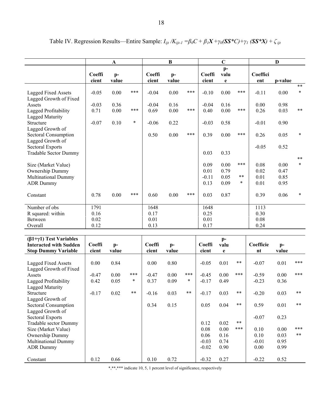|                                                             |                 | A             |        |                 | $\bf{B}$      |       |                 | $\mathbf C$         |            |                 | D             |                 |
|-------------------------------------------------------------|-----------------|---------------|--------|-----------------|---------------|-------|-----------------|---------------------|------------|-----------------|---------------|-----------------|
|                                                             | Coeffi<br>cient | $p-$<br>value |        | Coeffi<br>cient | $p-$<br>value |       | Coeffi<br>cient | $p-$<br>valu<br>e   |            | Coeffici<br>ent | p-value       |                 |
| Lagged Fixed Assets<br>Lagged Growth of Fixed               | $-0.05$         | 0.00          | ***    | $-0.04$         | 0.00          | $***$ | $-0.10$         | 0.00                | ***        | $-0.11$         | 0.00          | $***$<br>$\ast$ |
| Assets                                                      | $-0.03$         | 0.36          |        | $-0.04$         | 0.16          |       | $-0.04$         | 0.16                |            | 0.00            | 0.98          |                 |
| Lagged Profitability                                        | 0.71            | 0.00          | ***    | 0.69            | 0.00          | ***   | 0.40            | 0.00                | $***$      | 0.26            | 0.03          | $\ast\ast$      |
| Lagged Maturity<br>Structure<br>Lagged Growth of            | $-0.07$         | 0.10          | $\ast$ | $-0.06$         | 0.22          |       | $-0.03$         | 0.58                |            | $-0.01$         | 0.90          |                 |
| Sectoral Consumption<br>Lagged Growth of                    |                 |               |        | 0.50            | 0.00          | $***$ | 0.39            | 0.00                | ***        | 0.26            | 0.05          | $\ast$          |
| <b>Sectoral Exports</b><br><b>Tradable Sector Dummy</b>     |                 |               |        |                 |               |       | 0.03            | 0.33                |            | $-0.05$         | 0.52          |                 |
|                                                             |                 |               |        |                 |               |       |                 |                     |            |                 |               | $\ast\ast$      |
| Size (Market Value)                                         |                 |               |        |                 |               |       | 0.09            | 0.00                | ***        | 0.08            | 0.00          | $\ast$          |
| Ownership Dummy                                             |                 |               |        |                 |               |       | 0.01            | 0.79                |            | 0.02            | 0.47          |                 |
| <b>Multinational Dummy</b>                                  |                 |               |        |                 |               |       | $-0.11$<br>0.13 | 0.05<br>0.09        | $***$<br>∗ | 0.01<br>0.01    | 0.85<br>0.95  |                 |
| <b>ADR</b> Dummy                                            |                 |               |        |                 |               |       |                 |                     |            |                 |               |                 |
| Constant                                                    | 0.78            | 0.00          | ***    | 0.60            | 0.00          | $***$ | 0.03            | 0.87                |            | 0.39            | 0.06          | $\ast$          |
| Number of obs                                               | 1791            |               |        | 1648            |               |       | 1648            |                     |            | 1113            |               |                 |
| R squared: within                                           | 0.16            |               |        | 0.17            |               |       | 0.25            |                     |            | 0.30            |               |                 |
| Between                                                     | 0.02            |               |        | 0.01            |               |       | 0.01            |                     |            | 0.08            |               |                 |
| Overall                                                     | 0.12            |               |        | 0.13            |               |       | 0.17            |                     |            | 0.24            |               |                 |
| $(\beta1+\gamma1)$ Test Variables                           |                 |               |        |                 |               |       |                 | $p-$                |            |                 |               |                 |
| <b>Interacted with Sudden</b><br><b>Stop Dummy Variable</b> | Coeffi<br>cient | $p-$<br>value |        | Coeffi<br>cient | $p-$<br>value |       | Coeffi<br>cient | valu<br>$\mathbf e$ |            | Coefficie<br>nt | $p-$<br>value |                 |
|                                                             |                 |               |        |                 |               |       |                 |                     |            |                 |               |                 |
| <b>Lagged Fixed Assets</b><br>Lagged Growth of Fixed        | 0.00            | 0.84          |        | 0.00            | 0.80          |       | $-0.05$         | 0.01                | $***$      | $-0.07$         | 0.01          | ***             |
| Assets                                                      | $-0.47$         | 0.00          | ***    | $-0.47$         | 0.00          | $***$ | $-0.45$         | 0.00                | ***        | $-0.59$         | 0.00          | ***             |
| Lagged Profitability<br><b>Lagged Maturity</b>              | 0.42            | 0.05          | $\ast$ | 0.37            | 0.09          | *     | $-0.17$         | 0.49                |            | $-0.23$         | 0.36          |                 |
| Structure<br>Lagged Growth of                               | $-0.17$         | 0.02          | **     | $-0.16$         | 0.03          | $***$ | $-0.17$         | 0.03                | **         | $-0.20$         | 0.03          |                 |
| Sectoral Consumption<br>Lagged Growth of                    |                 |               |        | 0.34            | 0.15          |       | 0.05            | 0.04                | $\ast\ast$ | 0.59            | 0.01          | $***$           |
| Sectoral Exports<br>Tradable sector Dummy                   |                 |               |        |                 |               |       | 0.12            | 0.02                | $***$      | $-0.07$         | 0.23          |                 |
| Size (Market Value)                                         |                 |               |        |                 |               |       | 0.08            | 0.00                | ***        | 0.10            | 0.00          | ***             |
| Ownership Dummy                                             |                 |               |        |                 |               |       | 0.06            | 0.16                |            | 0.10            | 0.03          | $***$           |
| <b>Multinational Dummy</b>                                  |                 |               |        |                 |               |       | $-0.03$         | 0.74                |            | $-0.01$         | 0.95          |                 |
| <b>ADR</b> Dummy                                            |                 |               |        |                 |               |       | $-0.02$         | 0.90                |            | 0.00            | 0.99          |                 |
|                                                             |                 |               |        |                 |               |       |                 |                     |            |                 |               |                 |

Table IV. Regression Results—Entire Sample:  $I_{ijt}/K_{ijt-1} = \beta_0 C + \beta_1 X + \gamma_0 (\mathbf{S} \mathbf{S}^* C) + \gamma_1 (\mathbf{S} \mathbf{S}^* X) + \zeta_{ijt}$ 

\*,\*\*,\*\*\* indicate 10, 5, 1 percent level of significance, respectively

Constant 1 0.12 0.66 0.10 0.72 0.32 0.27 0.52 0.52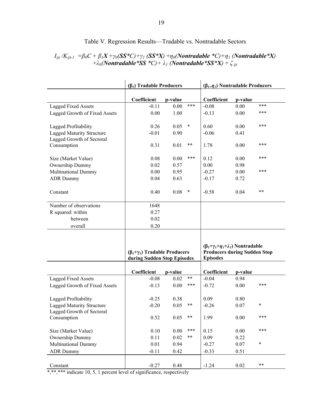|                                                               | $(\beta_1)$ Tradable Producers                                         |          |        | $(\beta_{1+}\eta_1)$ Nontradable Producers                                                                  |          |        |  |
|---------------------------------------------------------------|------------------------------------------------------------------------|----------|--------|-------------------------------------------------------------------------------------------------------------|----------|--------|--|
|                                                               | Coefficient                                                            | p-value  |        | Coefficient                                                                                                 | p-value  |        |  |
| <b>Lagged Fixed Assets</b>                                    | $-0.11$                                                                | 0.00     | $***$  | $-0.08$                                                                                                     | 0.00     | ***    |  |
| Lagged Growth of Fixed Assets                                 | 0.00                                                                   | 1.00     |        | $-0.13$                                                                                                     | 0.00     | ***    |  |
| Lagged Profitability                                          | 0.26                                                                   | 0.05     | $\ast$ | 0.60                                                                                                        | 0.00     | ***    |  |
| <b>Lagged Maturity Structure</b><br>Lagged Growth of Sectoral | $-0.01$                                                                | 0.90     |        | $-0.06$                                                                                                     | 0.41     |        |  |
| Consumption                                                   | 0.31                                                                   | 0.01     | $***$  | 1.78                                                                                                        | 0.00     | ***    |  |
| Size (Market Value)                                           | 0.08                                                                   | 0.00     | ***    | 0.12                                                                                                        | 0.00     | ***    |  |
| Ownership Dummy                                               | 0.02                                                                   | 0.57     |        | 0.00                                                                                                        | 0.98     |        |  |
| <b>Multinational Dummy</b>                                    | 0.00                                                                   | 0.95     |        | $-0.27$                                                                                                     | 0.00     | ***    |  |
| <b>ADR Dummy</b>                                              | 0.04                                                                   | 0.63     |        | $-0.17$                                                                                                     | 0.72     |        |  |
| Constant                                                      | 0.40                                                                   | 0.08     | ∗      | $-0.58$                                                                                                     | 0.04     | $***$  |  |
| Number of observations                                        | 1648                                                                   |          |        |                                                                                                             |          |        |  |
| R squared: within                                             | 0.27                                                                   |          |        |                                                                                                             |          |        |  |
| between                                                       | 0.02                                                                   |          |        |                                                                                                             |          |        |  |
| overall                                                       | 0.20                                                                   |          |        |                                                                                                             |          |        |  |
|                                                               | $(\beta_1+\gamma_1)$ Tradable Producers<br>during Sudden Stop Episodes |          |        | $(\beta_1+\gamma_1+\eta_1+\lambda_1)$ Nontradable<br><b>Producers during Sudden Stop</b><br><b>Episodes</b> |          |        |  |
|                                                               | Coefficient                                                            | p-value  |        | Coefficient                                                                                                 | p-value  |        |  |
| <b>Lagged Fixed Assets</b>                                    | $-0.08$                                                                | 0.02     | $***$  | $-0.04$                                                                                                     | 0.94     |        |  |
| Lagged Growth of Fixed Assets                                 | $-0.13$                                                                | 0.00     | ***    | $-0.72$                                                                                                     | 0.00     | ***    |  |
| Lagged Profitability                                          | $-0.25$                                                                | 0.38     |        | 0.09                                                                                                        | 0.80     |        |  |
| <b>Lagged Maturity Structure</b><br>Lagged Growth of Sectoral | $-0.20$                                                                | 0.05     | $***$  | $-0.26$                                                                                                     | 0.07     | $\ast$ |  |
| Consumption                                                   | 0.52                                                                   | 0.05     | $***$  | 1.99                                                                                                        | 0.00     | ***    |  |
| Size (Market Value)                                           | 0.10                                                                   | $0.00\,$ | $***$  | 0.15                                                                                                        | 0.00     | ***    |  |
| Ownership Dummy                                               | 0.11                                                                   | 0.02     | $***$  | 0.09                                                                                                        | 0.22     |        |  |
| Multinational Dummy                                           | 0.01                                                                   | 0.94     |        | $-0.27$                                                                                                     | 0.07     | $\ast$ |  |
| <b>ADR Dummy</b>                                              | $-0.11$                                                                | 0.42     |        | $-0.33$                                                                                                     | 0.51     |        |  |
| Constant                                                      | $-0.27$                                                                | 0.48     |        | $-1.24$                                                                                                     | $0.02\,$ | $***$  |  |

#### Table V. Regression Results—Tradable vs. Nontradable Sectors

#### $I_{ijt}$  /K<sub>ijt-1</sub> =  $\beta_0 C + \beta_1 X + \gamma_0(\mathbf{SS}^*C) + \gamma_1(\mathbf{SS}^*X) + \eta_0(Nontradable^*C) + \eta_1(Nontradable^*X)$ +*λ0(Nontradable\*SS \*C)+ λ1 (Nontradable\*SS\*X)* + *ζ ijt*

\*,\*\*,\*\*\* indicate 10, 5, 1 percent level of significance, respectively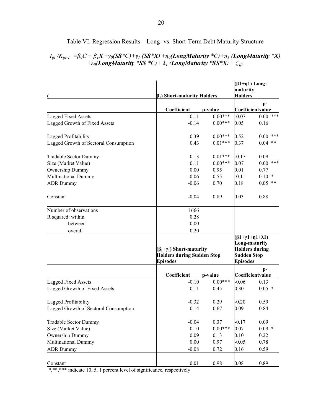|                                       | $\beta_1$ ) Short-maturity Holders                                                          |           | $(β1+η1)$ Long-<br>maturity<br><b>Holders</b> |                                                                             |
|---------------------------------------|---------------------------------------------------------------------------------------------|-----------|-----------------------------------------------|-----------------------------------------------------------------------------|
|                                       | Coefficient                                                                                 | p-value   |                                               | $p-$<br>Coefficientvalue                                                    |
| <b>Lagged Fixed Assets</b>            | $-0.11$                                                                                     | $0.00***$ | $-0.07$                                       | $0.00$ ***                                                                  |
| Lagged Growth of Fixed Assets         | $-0.14$                                                                                     | $0.00***$ | 0.05                                          | 0.16                                                                        |
| Lagged Profitability                  | 0.39                                                                                        | $0.00***$ | 0.52                                          | $0.00$ ***                                                                  |
| Lagged Growth of Sectoral Consumption | 0.43                                                                                        | $0.01***$ | 0.37                                          | $0.04$ **                                                                   |
| Tradable Sector Dummy                 | 0.13                                                                                        | $0.01***$ | $-0.17$                                       | 0.09                                                                        |
| Size (Market Value)                   | 0.11                                                                                        | $0.00***$ | 0.07                                          | $0.00$ ***                                                                  |
| Ownership Dummy                       | 0.00                                                                                        | 0.95      | 0.01                                          | 0.77                                                                        |
| <b>Multinational Dummy</b>            | $-0.06$                                                                                     | 0.55      | $-0.11$                                       | $0.10*$                                                                     |
| <b>ADR Dummy</b>                      | $-0.06$                                                                                     | 0.70      | 0.18                                          | $0.05$ **                                                                   |
| Constant                              | $-0.04$                                                                                     | 0.89      | 0.03                                          | 0.88                                                                        |
| Number of observations                | 1666                                                                                        |           |                                               |                                                                             |
| R squared: within                     | 0.28                                                                                        |           |                                               |                                                                             |
| between                               | 0.00                                                                                        |           |                                               |                                                                             |
| overall                               | 0.20                                                                                        |           |                                               |                                                                             |
|                                       | $(\beta_1+\gamma_1)$ Short-maturity<br><b>Holders during Sudden Stop</b><br><b>Episodes</b> |           | <b>Sudden Stop</b><br><b>Episodes</b>         | $(\beta1+\gamma1+\eta1+\lambda1)$<br>Long-maturity<br><b>Holders during</b> |
|                                       | Coefficient                                                                                 | p-value   |                                               | $p-$<br>Coefficientvalue                                                    |
| <b>Lagged Fixed Assets</b>            | $-0.10$                                                                                     | $0.00***$ | $-0.06$                                       | 0.13                                                                        |
| Lagged Growth of Fixed Assets         | 0.11                                                                                        | 0.45      | 0.30                                          | $0.05$ *                                                                    |
| Lagged Profitability                  | $-0.32$                                                                                     | 0.29      | $-0.20$                                       | 0.59                                                                        |
| Lagged Growth of Sectoral Consumption | 0.14                                                                                        | 0.67      | 0.09                                          | 0.84                                                                        |
| Tradable Sector Dummy                 | $-0.04$                                                                                     | 0.37      | $-0.17$                                       | 0.09                                                                        |
| Size (Market Value)                   | 0.10                                                                                        | $0.00***$ | 0.07                                          | $0.09$ *                                                                    |
| Ownership Dummy                       | 0.09                                                                                        | 0.13      | 0.10                                          | 0.22                                                                        |
| <b>Multinational Dummy</b>            | 0.00                                                                                        | 0.97      | $-0.05$                                       | 0.78                                                                        |
| <b>ADR</b> Dummy                      | $-0.08$                                                                                     | 0.72      | 0.16                                          | 0.59                                                                        |
| Constant                              | $0.01\,$                                                                                    | 0.98      | 0.08                                          | 0.89                                                                        |

#### Table VI. Regression Results – Long- vs. Short-Term Debt Maturity Structure

#### $I_{ijt}/K_{ijt-1}$  =  $\beta_0C + \beta_1X + \gamma_0(SS*C) + \gamma_1 (SS*X) + \eta_0 (LongMaturity*C) + \eta_1 (LongMaturity *X)$ +*λ0(LongMaturity \*SS \*C)+ λ1 (LongMaturity \*SS\*X)* + *ζ ijt*

\*,\*\*\*\* indicate 10, 5, 1 percent level of significance, respectively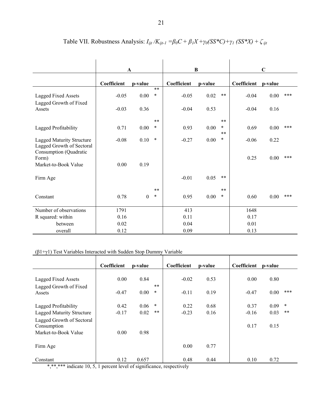|                                                                                         | A           |              |                | B           |         |                 | $\mathbf C$ |         |       |
|-----------------------------------------------------------------------------------------|-------------|--------------|----------------|-------------|---------|-----------------|-------------|---------|-------|
|                                                                                         | Coefficient | p-value      |                | Coefficient | p-value |                 | Coefficient | p-value |       |
| <b>Lagged Fixed Assets</b>                                                              | $-0.05$     | 0.00         | $**$<br>$\ast$ | $-0.05$     | 0.02    | $***$           | $-0.04$     | 0.00    | ***   |
| Lagged Growth of Fixed<br>Assets                                                        | $-0.03$     | 0.36         |                | $-0.04$     | 0.53    |                 | $-0.04$     | 0.16    |       |
|                                                                                         |             |              | $* *$          |             |         | $***$           |             |         |       |
| Lagged Profitability                                                                    | 0.71        | 0.00         | $\ast$         | 0.93        | 0.00    | $\ast$<br>$***$ | 0.69        | 0.00    | ***   |
| <b>Lagged Maturity Structure</b><br>Lagged Growth of Sectoral<br>Consumption (Quadratic | $-0.08$     | 0.10         | $\ast$         | $-0.27$     | 0.00    | $\ast$          | $-0.06$     | 0.22    |       |
| Form)<br>Market-to-Book Value                                                           | 0.00        | 0.19         |                |             |         |                 | 0.25        | 0.00    | $***$ |
| Firm Age                                                                                |             |              |                | $-0.01$     | 0.05    | $***$           |             |         |       |
|                                                                                         |             |              | $* *$          |             |         | $**$            |             |         |       |
| Constant                                                                                | 0.78        | $\mathbf{0}$ | $\ast$         | 0.95        | 0.00    | $\ast$          | 0.60        | 0.00    | ***   |
| Number of observations                                                                  | 1791        |              |                | 413         |         |                 | 1648        |         |       |
| R squared: within                                                                       | 0.16        |              |                | 0.11        |         |                 | 0.17        |         |       |
| between                                                                                 | 0.02        |              |                | 0.04        |         |                 | 0.01        |         |       |
| overall                                                                                 | 0.12        |              |                | 0.09        |         |                 | 0.13        |         |       |

Table VII. Robustness Analysis:  $I_{ijt}/K_{ijt-1} = \beta_0 C + \beta_1 X + \gamma_0 (SS^*C) + \gamma_1 (SS^*X) + \zeta_{ijt}$ 

#### ( $β1+γ1$ ) Test Variables Interacted with Sudden Stop Dummy Variable

|                                  | Coefficient | p-value |        | Coefficient | p-value | Coefficient | p-value |        |
|----------------------------------|-------------|---------|--------|-------------|---------|-------------|---------|--------|
|                                  |             |         |        |             |         |             |         |        |
| Lagged Fixed Assets              | 0.00        | 0.84    |        | $-0.02$     | 0.53    | 0.00        | 0.80    |        |
| Lagged Growth of Fixed           |             |         | $**$   |             |         |             |         |        |
| Assets                           | $-0.47$     | 0.00    | $\ast$ | $-0.11$     | 0.19    | $-0.47$     | 0.00    | ***    |
|                                  |             |         |        |             |         |             |         |        |
| Lagged Profitability             | 0.42        | 0.06    | $\ast$ | 0.22        | 0.68    | 0.37        | 0.09    | $\ast$ |
| <b>Lagged Maturity Structure</b> | $-0.17$     | 0.02    | **     | $-0.23$     | 0.16    | $-0.16$     | 0.03    | $***$  |
| Lagged Growth of Sectoral        |             |         |        |             |         |             |         |        |
| Consumption                      |             |         |        |             |         | 0.17        | 0.15    |        |
| Market-to-Book Value             | 0.00        | 0.98    |        |             |         |             |         |        |
|                                  |             |         |        |             |         |             |         |        |
| Firm Age                         |             |         |        | 0.00        | 0.77    |             |         |        |
|                                  |             |         |        |             |         |             |         |        |
| Constant                         | 0.12        | 0.657   |        | 0.48        | 0.44    | 0.10        | 0.72    |        |

\*,\*\*,\*\*\* indicate 10, 5, 1 percent level of significance, respectively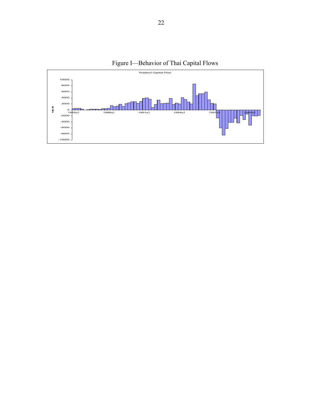

Figure I—Behavior of Thai Capital Flows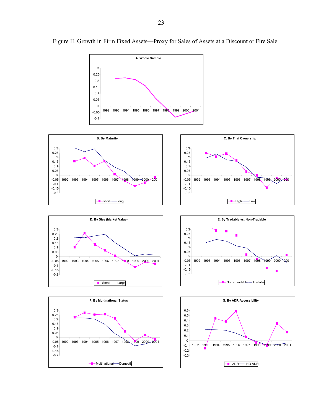

Figure II. Growth in Firm Fixed Assets—Proxy for Sales of Assets at a Discount or Fire Sale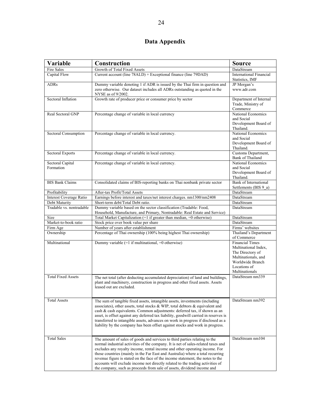## **Data Appendix**

| Variable                  | Construction                                                                                                                                                      | <b>Source</b>                                         |
|---------------------------|-------------------------------------------------------------------------------------------------------------------------------------------------------------------|-------------------------------------------------------|
| <b>Fire Sales</b>         | Growth of Total Fixed Assets                                                                                                                                      | DataStream                                            |
| Capital Flow              | Current account (line 78ALD) + Exceptional finance (line 79DAD)                                                                                                   | <b>International Financial</b><br>Statistics, IMF     |
| <b>ADRs</b>               | Dummy variable denoting 1 if ADR is issued by the Thai firm in question and                                                                                       | JP Morgan's                                           |
|                           | zero otherwise. Our dataset includes all ADRs outstanding as quoted in the<br>NYSE as of 9/2002.                                                                  | www.adr.com                                           |
| Sectoral Inflation        | Growth rate of producer price or consumer price by sector                                                                                                         | Department of Internal                                |
|                           |                                                                                                                                                                   | Trade, Ministry of<br>Commerce                        |
| Real Sectoral GNP         | Percentage change of variable in local currency                                                                                                                   | National Economics<br>and Social                      |
|                           |                                                                                                                                                                   | Development Board of<br>Thailand.                     |
| Sectoral Consumption      | Percentage change of variable in local currency.                                                                                                                  | National Economics                                    |
|                           |                                                                                                                                                                   | and Social<br>Development Board of                    |
|                           |                                                                                                                                                                   | Thailand.                                             |
| <b>Sectoral Exports</b>   | Percentage change of variable in local currency.                                                                                                                  | Customs Department,<br><b>Bank of Thailand</b>        |
| Sectoral Capital          | Percentage change of variable in local currency.                                                                                                                  | National Economics                                    |
| Formation                 |                                                                                                                                                                   | and Social<br>Development Board of                    |
|                           |                                                                                                                                                                   | Thailand.                                             |
| <b>BIS Bank Claims</b>    | Consolidated claims of BIS-reporting banks on Thai nonbank private sector                                                                                         | <b>Bank</b> of International<br>Settlements (BIS 9 a) |
| Profitability             | After-tax Profit/Total Assets                                                                                                                                     | DataStream                                            |
| Interest Coverage Ratio   | Earnings before interest and taxes/net interest charges. nm1300/nm2408                                                                                            | DataStream                                            |
| Debt Maturity             | Short-term debt/Total Debt ratio.                                                                                                                                 | DataStream                                            |
| Tradable vs. nontradable  | Dummy variable based on the sector classification (Tradable: Food,                                                                                                | DataStream                                            |
| Size                      | Household, Manufacture, and Primary, Nontradable: Real Estate and Service)<br>Total Market Capitalization (=1 if greater than median, =0 otherwise)               | DataStream                                            |
| Market-to-book ratio      | Stock price over book value per share                                                                                                                             | DataStream                                            |
| Firm Age                  | Number of years after establishment                                                                                                                               | Firms' websites                                       |
| Ownership                 | Percentage of Thai ownership (100% being highest Thai ownership)                                                                                                  | Thailand's Department<br>of Commerce                  |
| Multinational             | Dummy variable (=1 if multinational, =0 otherwise)                                                                                                                | <b>Financial Times</b>                                |
|                           |                                                                                                                                                                   | Multinational Index,<br>The Directory of              |
|                           |                                                                                                                                                                   | Multinationals, and                                   |
|                           |                                                                                                                                                                   | Worldwide Branch                                      |
|                           |                                                                                                                                                                   | Locations of                                          |
| <b>Total Fixed Assets</b> | The net total (after deducting accumulated depreciation) of land and buildings,                                                                                   | Multinationals<br>DataStream nm339                    |
|                           | plant and machinery, construction in progress and other fixed assets. Assets                                                                                      |                                                       |
|                           | leased out are excluded.                                                                                                                                          |                                                       |
|                           |                                                                                                                                                                   |                                                       |
| <b>Total Assets</b>       | The sum of tangible fixed assets, intangible assets, investments (including                                                                                       | DataStream nm392                                      |
|                           | associates), other assets, total stocks & WIP, total debtors & equivalent and                                                                                     |                                                       |
|                           | cash & cash equivalents. Common adjustments: deferred tax, if shown as an<br>asset, is offset against any deferred tax liability, goodwill carried in reserves is |                                                       |
|                           | transferred to intangible assets, advances on work in progress if disclosed as a                                                                                  |                                                       |
|                           | liability by the company has been offset against stocks and work in progress.                                                                                     |                                                       |
|                           |                                                                                                                                                                   |                                                       |
| <b>Total Sales</b>        | The amount of sales of goods and services to third parties relating to the                                                                                        | DataStream nm104                                      |
|                           | normal industrial activities of the company. It is net of sales-related taxes and                                                                                 |                                                       |
|                           | excludes any royalty income, rental income and other operating income. For                                                                                        |                                                       |
|                           | those countries (mainly in the Far East and Australia) where a total recurring                                                                                    |                                                       |
|                           | revenue figure is stated on the face of the income statement, the notes to the<br>accounts will exclude income not directly related to the trading activities of  |                                                       |
|                           | the company, such as proceeds from sale of assets, dividend income and                                                                                            |                                                       |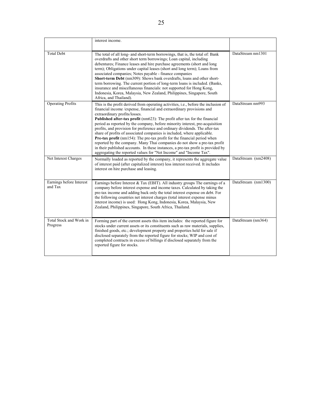|                                     | interest income.                                                                                                                                                                                                                                                                                                                                                                                                                                                                                                                                                                                                                                                                                                                                                                                                                                |                     |
|-------------------------------------|-------------------------------------------------------------------------------------------------------------------------------------------------------------------------------------------------------------------------------------------------------------------------------------------------------------------------------------------------------------------------------------------------------------------------------------------------------------------------------------------------------------------------------------------------------------------------------------------------------------------------------------------------------------------------------------------------------------------------------------------------------------------------------------------------------------------------------------------------|---------------------|
| <b>Total Debt</b>                   | The total of all long- and short-term borrowings, that is, the total of: Bank<br>overdrafts and other short term borrowings; Loan capital, including<br>debentures; Finance leases and hire purchase agreements (short and long<br>term); Obligations under capital leases (short and long term); Loans from<br>associated companies; Notes payable - finance companies<br>Short-term Debt (nm309): Shows bank overdrafts, loans and other short-<br>term borrowing. The current portion of long-term loans is included. (Banks,<br>insurance and miscellaneous financials: not supported for Hong Kong,<br>Indonesia, Korea, Malaysia, New Zealand, Philippines, Singapore, South<br>Africa, and Thailand).                                                                                                                                    | DataStream nm1301   |
| <b>Operating Profits</b>            | This is the profit derived from operating activities, i.e., before the inclusion of<br>financial income /expense, financial and extraordinary provisions and<br>extraordinary profits/losses.<br>Published after-tax profit (nm623): The profit after tax for the financial<br>period as reported by the company, before minority interest, pre-acquisition<br>profits, and provision for preference and ordinary dividends. The after-tax<br>share of profits of associated companies is included, where applicable.<br><b>Pre-tax profit</b> (nm154): The pre-tax profit for the financial period when<br>reported by the company. Many Thai companies do not show a pre-tax profit<br>in their published accounts. In these instances, a pre-tax profit is provided by<br>aggregating the reported values for "Net Income" and "Income Tax". | DataStream nm993    |
| Net Interest Charges                | Normally loaded as reported by the company, it represents the aggregate value<br>of interest paid (after capitalized interest) less interest received. It includes<br>interest on hire purchase and leasing.                                                                                                                                                                                                                                                                                                                                                                                                                                                                                                                                                                                                                                    | DataStream (nm2408) |
| Earnings before Interest<br>and Tax | Earnings before Interest & Tax (EBIT). All industry groups The earnings of a<br>company before interest expense and income taxes. Calculated by taking the<br>pre-tax income and adding back only the total interest expense on debt. For<br>the following countries net interest charges (total interest expense minus<br>interest income) is used: Hong Kong, Indonesia, Korea, Malaysia, New<br>Zealand, Philippines, Singapore, South Africa, Thailand.                                                                                                                                                                                                                                                                                                                                                                                     | DataStream (nm1300) |
| Total Stock and Work in<br>Progress | Forming part of the current assets this item includes: the reported figure for<br>stocks under current assets or its constituents such as raw materials, supplies,<br>finished goods, etc.; development property and properties held for sale if<br>disclosed separately from the reported figure for stocks; WIP and cost of<br>completed contracts in excess of billings if disclosed separately from the<br>reported figure for stocks.                                                                                                                                                                                                                                                                                                                                                                                                      | DataStream (nm364)  |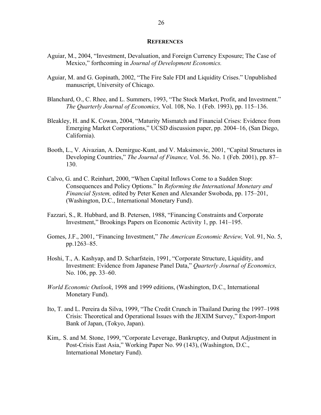#### **REFERENCES**

- Aguiar, M., 2004, "Investment, Devaluation, and Foreign Currency Exposure; The Case of Mexico," forthcoming in *Journal of Development Economics.*
- Aguiar, M. and G. Gopinath, 2002, "The Fire Sale FDI and Liquidity Crises." Unpublished manuscript, University of Chicago.
- Blanchard, O., C. Rhee, and L. Summers, 1993, "The Stock Market, Profit, and Investment." *The Quarterly Journal of Economics,* Vol. 108, No. 1 (Feb. 1993), pp. 115–136.
- Bleakley, H. and K. Cowan, 2004, "Maturity Mismatch and Financial Crises: Evidence from Emerging Market Corporations," UCSD discussion paper, pp. 2004–16, (San Diego, California).
- Booth, L., V. Aivazian, A. Demirguc-Kunt, and V. Maksimovic, 2001, "Capital Structures in Developing Countries," *The Journal of Finance,* Vol. 56. No. 1 (Feb. 2001), pp. 87– 130.
- Calvo, G. and C. Reinhart, 2000, "When Capital Inflows Come to a Sudden Stop: Consequences and Policy Options." In *Reforming the International Monetary and Financial System,* edited by Peter Kenen and Alexander Swoboda, pp. 175–201, (Washington, D.C., International Monetary Fund).
- Fazzari, S., R. Hubbard, and B. Petersen, 1988, "Financing Constraints and Corporate Investment," Brookings Papers on Economic Activity 1, pp. 141–195.
- Gomes, J.F., 2001, "Financing Investment," *The American Economic Review,* Vol. 91, No. 5, pp.1263–85.
- Hoshi, T., A. Kashyap, and D. Scharfstein, 1991, "Corporate Structure, Liquidity, and Investment: Evidence from Japanese Panel Data," *Quarterly Journal of Economics,*  No. 106, pp. 33–60.
- *World Economic Outlook*, 1998 and 1999 editions, (Washington, D.C., International Monetary Fund).
- Ito, T. and L. Pereira da Silva, 1999, "The Credit Crunch in Thailand During the 1997–1998 Crisis: Theoretical and Operational Issues with the JEXIM Survey," Export-Import Bank of Japan, (Tokyo, Japan).
- Kim,. S. and M. Stone, 1999, "Corporate Leverage, Bankruptcy, and Output Adjustment in Post-Crisis East Asia," Working Paper No. 99 (143), (Washington, D.C., International Monetary Fund).